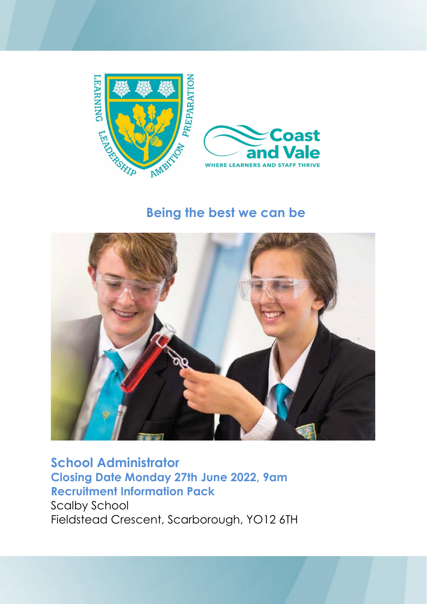

# **Being the best we can be**



**School Administrator Closing Date Monday 27th June 2022, 9am Recruitment Information Pack** Scalby School Fieldstead Crescent, Scarborough, YO12 6TH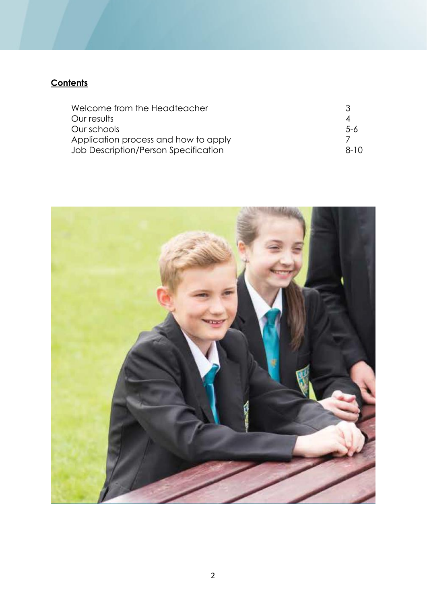## **Contents**

| Welcome from the Headteacher         |          |
|--------------------------------------|----------|
| Our results                          |          |
| Our schools                          | $-6$     |
| Application process and how to apply |          |
| Job Description/Person Specification | $8 - 10$ |

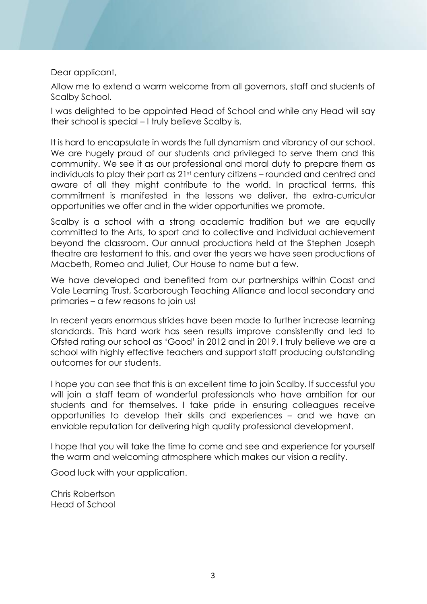Dear applicant,

Allow me to extend a warm welcome from all governors, staff and students of Scalby School.

I was delighted to be appointed Head of School and while any Head will say their school is special – I truly believe Scalby is.

It is hard to encapsulate in words the full dynamism and vibrancy of our school. We are hugely proud of our students and privileged to serve them and this community. We see it as our professional and moral duty to prepare them as individuals to play their part as 21st century citizens – rounded and centred and aware of all they might contribute to the world. In practical terms, this commitment is manifested in the lessons we deliver, the extra-curricular opportunities we offer and in the wider opportunities we promote.

Scalby is a school with a strong academic tradition but we are equally committed to the Arts, to sport and to collective and individual achievement beyond the classroom. Our annual productions held at the Stephen Joseph theatre are testament to this, and over the years we have seen productions of Macbeth, Romeo and Juliet, Our House to name but a few.

We have developed and benefited from our partnerships within Coast and Vale Learning Trust, Scarborough Teaching Alliance and local secondary and primaries – a few reasons to join us!

In recent years enormous strides have been made to further increase learning standards. This hard work has seen results improve consistently and led to Ofsted rating our school as 'Good' in 2012 and in 2019. I truly believe we are a school with highly effective teachers and support staff producing outstanding outcomes for our students.

I hope you can see that this is an excellent time to join Scalby. If successful you will join a staff team of wonderful professionals who have ambition for our students and for themselves. I take pride in ensuring colleagues receive opportunities to develop their skills and experiences – and we have an enviable reputation for delivering high quality professional development.

I hope that you will take the time to come and see and experience for yourself the warm and welcoming atmosphere which makes our vision a reality.

Good luck with your application.

Chris Robertson Head of School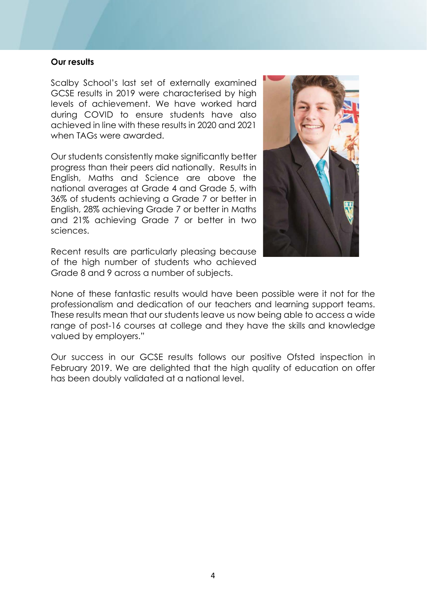#### **Our results**

Scalby School's last set of externally examined GCSE results in 2019 were characterised by high levels of achievement. We have worked hard during COVID to ensure students have also achieved in line with these results in 2020 and 2021 when TAGs were awarded.

Our students consistently make significantly better progress than their peers did nationally. Results in English, Maths and Science are above the national averages at Grade 4 and Grade 5, with 36% of students achieving a Grade 7 or better in English, 28% achieving Grade 7 or better in Maths and 21% achieving Grade 7 or better in two sciences.

Recent results are particularly pleasing because of the high number of students who achieved Grade 8 and 9 across a number of subjects.



None of these fantastic results would have been possible were it not for the professionalism and dedication of our teachers and learning support teams. These results mean that our students leave us now being able to access a wide range of post-16 courses at college and they have the skills and knowledge valued by employers."

Our success in our GCSE results follows our positive Ofsted inspection in February 2019. We are delighted that the high quality of education on offer has been doubly validated at a national level.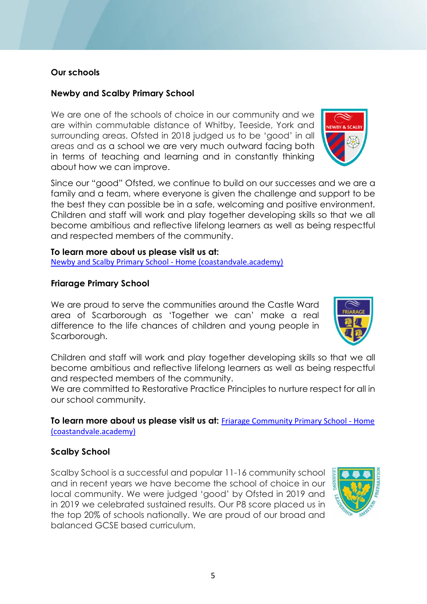## **Our schools**

#### **Newby and Scalby Primary School**

We are one of the schools of choice in our community and we are within commutable distance of Whitby, Teeside, York and surrounding areas. Ofsted in 2018 judged us to be 'good' in all areas and as a school we are very much outward facing both in terms of teaching and learning and in constantly thinking about how we can improve.

Since our "good" Ofsted, we continue to build on our successes and we are a family and a team, where everyone is given the challenge and support to be the best they can possible be in a safe, welcoming and positive environment. Children and staff will work and play together developing skills so that we all become ambitious and reflective lifelong learners as well as being respectful and respected members of the community.

#### **To learn more about us please visit us at:**

[Newby and Scalby Primary School -](https://www.newbyandscalby.coastandvale.academy/) Home (coastandvale.academy)

#### **Friarage Primary School**

We are proud to serve the communities around the Castle Ward area of Scarborough as 'Together we can' make a real difference to the life chances of children and young people in Scarborough.

Children and staff will work and play together developing skills so that we all become ambitious and reflective lifelong learners as well as being respectful and respected members of the community.

We are committed to Restorative Practice Principles to nurture respect for all in our school community.

**To learn more about us please visit us at:** [Friarage Community Primary School -](https://www.friarage.coastandvale.academy/) Home [\(coastandvale.academy\)](https://www.friarage.coastandvale.academy/)

## **Scalby School**

Scalby School is a successful and popular 11-16 community school  $\frac{1}{2}$ and in recent years we have become the school of choice in our local community. We were judged 'good' by Ofsted in 2019 and in 2019 we celebrated sustained results. Our P8 score placed us in the top 20% of schools nationally. We are proud of our broad and balanced GCSE based curriculum.





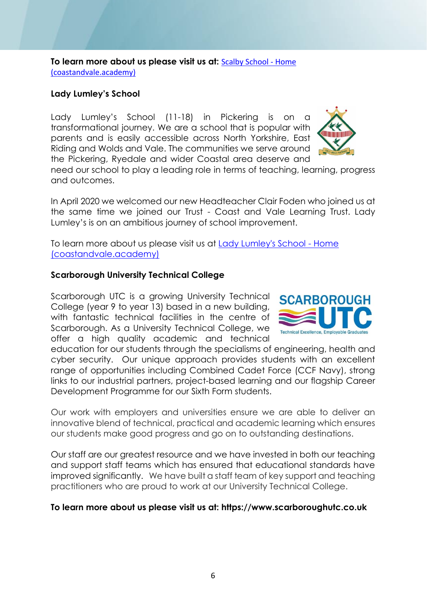**To learn more about us please visit us at:** [Scalby School -](https://www.scalby.coastandvale.academy/) Home [\(coastandvale.academy\)](https://www.scalby.coastandvale.academy/)

#### **Lady Lumley's School**

Lady Lumley's School (11-18) in Pickering is on a transformational journey. We are a school that is popular with parents and is easily accessible across North Yorkshire, East Riding and Wolds and Vale. The communities we serve around the Pickering, Ryedale and wider Coastal area deserve and

need our school to play a leading role in terms of teaching, learning, progress and outcomes.

In April 2020 we welcomed our new Headteacher Clair Foden who joined us at the same time we joined our Trust - Coast and Vale Learning Trust. Lady Lumley's is on an ambitious journey of school improvement.

To learn more about us please visit us at [Lady Lumley's School -](https://www.ladylumleys.coastandvale.academy/) Home [\(coastandvale.academy\)](https://www.ladylumleys.coastandvale.academy/)

#### **Scarborough University Technical College**

Scarborough UTC is a growing University Technical College (year 9 to year 13) based in a new building, with fantastic technical facilities in the centre of Scarborough. As a University Technical College, we offer a high quality academic and technical

education for our students through the specialisms of engineering, health and cyber security. Our unique approach provides students with an excellent range of opportunities including Combined Cadet Force (CCF Navy), strong links to our industrial partners, project-based learning and our flagship Career Development Programme for our Sixth Form students.

Our work with employers and universities ensure we are able to deliver an innovative blend of technical, practical and academic learning which ensures our students make good progress and go on to outstanding destinations.

Our staff are our greatest resource and we have invested in both our teaching and support staff teams which has ensured that educational standards have improved significantly. We have built a staff team of key support and teaching practitioners who are proud to work at our University Technical College.

#### **To learn more about us please visit us at: https://www.scarboroughutc.co.uk**



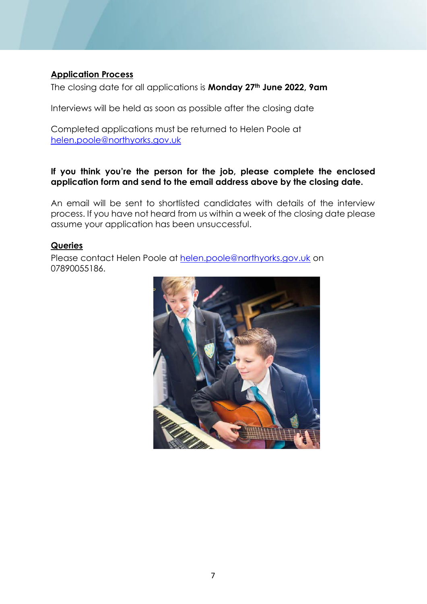## **Application Process**

The closing date for all applications is **Monday 27th June 2022, 9am**

Interviews will be held as soon as possible after the closing date

Completed applications must be returned to Helen Poole at [helen.poole@northyorks.gov.uk](mailto:helen.poole@northyorks.gov.uk)

#### **If you think you're the person for the job, please complete the enclosed application form and send to the email address above by the closing date.**

An email will be sent to shortlisted candidates with details of the interview process. If you have not heard from us within a week of the closing date please assume your application has been unsuccessful.

## **Queries**

Please contact Helen Poole at [helen.poole@northyorks.gov.uk](mailto:helen.poole@northyorks.gov.uk) on 07890055186.

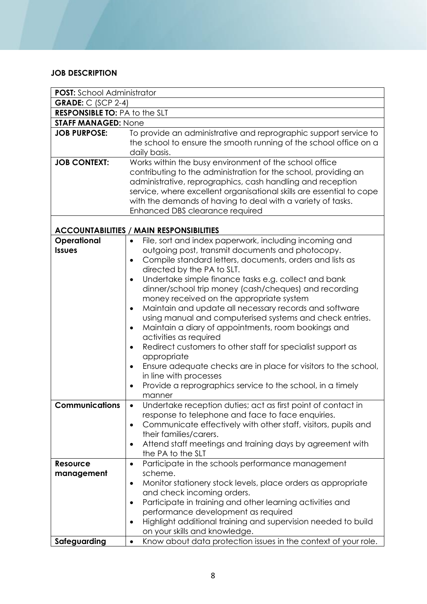#### **JOB DESCRIPTION**

|                                                 | <b>POST:</b> School Administrator                                            |  |  |  |  |
|-------------------------------------------------|------------------------------------------------------------------------------|--|--|--|--|
| <b>GRADE:</b> $C$ (SCP 2-4)                     |                                                                              |  |  |  |  |
| <b>RESPONSIBLE TO: PA to the SLT</b>            |                                                                              |  |  |  |  |
| <b>STAFF MANAGED: None</b>                      |                                                                              |  |  |  |  |
| <b>JOB PURPOSE:</b>                             | To provide an administrative and reprographic support service to             |  |  |  |  |
|                                                 | the school to ensure the smooth running of the school office on a            |  |  |  |  |
|                                                 | daily basis.                                                                 |  |  |  |  |
| <b>JOB CONTEXT:</b>                             | Works within the busy environment of the school office                       |  |  |  |  |
|                                                 | contributing to the administration for the school, providing an              |  |  |  |  |
|                                                 | administrative, reprographics, cash handling and reception                   |  |  |  |  |
|                                                 | service, where excellent organisational skills are essential to cope         |  |  |  |  |
|                                                 | with the demands of having to deal with a variety of tasks.                  |  |  |  |  |
|                                                 | Enhanced DBS clearance required                                              |  |  |  |  |
|                                                 |                                                                              |  |  |  |  |
| <b>ACCOUNTABILITIES / MAIN RESPONSIBILITIES</b> |                                                                              |  |  |  |  |
| Operational                                     | File, sort and index paperwork, including incoming and<br>$\bullet$          |  |  |  |  |
| <b>Issues</b>                                   | outgoing post, transmit documents and photocopy.                             |  |  |  |  |
|                                                 | Compile standard letters, documents, orders and lists as<br>$\bullet$        |  |  |  |  |
|                                                 | directed by the PA to SLT.                                                   |  |  |  |  |
|                                                 | Undertake simple finance tasks e.g. collect and bank<br>$\bullet$            |  |  |  |  |
|                                                 | dinner/school trip money (cash/cheques) and recording                        |  |  |  |  |
|                                                 | money received on the appropriate system                                     |  |  |  |  |
|                                                 | Maintain and update all necessary records and software<br>$\bullet$          |  |  |  |  |
|                                                 | using manual and computerised systems and check entries.                     |  |  |  |  |
|                                                 | Maintain a diary of appointments, room bookings and<br>$\bullet$             |  |  |  |  |
|                                                 | activities as required                                                       |  |  |  |  |
|                                                 | Redirect customers to other staff for specialist support as<br>$\bullet$     |  |  |  |  |
|                                                 | appropriate                                                                  |  |  |  |  |
|                                                 | Ensure adequate checks are in place for visitors to the school,<br>$\bullet$ |  |  |  |  |
|                                                 | in line with processes                                                       |  |  |  |  |
|                                                 | Provide a reprographics service to the school, in a timely                   |  |  |  |  |
| Communications                                  | manner<br>Undertake reception duties; act as first point of contact in       |  |  |  |  |
|                                                 | response to telephone and face to face enquiries.                            |  |  |  |  |
|                                                 | Communicate effectively with other staff, visitors, pupils and               |  |  |  |  |
|                                                 | their families/carers.                                                       |  |  |  |  |
|                                                 | Attend staff meetings and training days by agreement with<br>$\bullet$       |  |  |  |  |
|                                                 | the PA to the SLT                                                            |  |  |  |  |
| Resource                                        | Participate in the schools performance management<br>$\bullet$               |  |  |  |  |
| management                                      | scheme.                                                                      |  |  |  |  |
|                                                 | Monitor stationery stock levels, place orders as appropriate<br>$\bullet$    |  |  |  |  |
|                                                 | and check incoming orders.                                                   |  |  |  |  |
|                                                 | Participate in training and other learning activities and<br>٠               |  |  |  |  |
|                                                 | performance development as required                                          |  |  |  |  |
|                                                 | Highlight additional training and supervision needed to build<br>$\bullet$   |  |  |  |  |
|                                                 | on your skills and knowledge.                                                |  |  |  |  |
| Safeguarding                                    | Know about data protection issues in the context of your role.<br>$\bullet$  |  |  |  |  |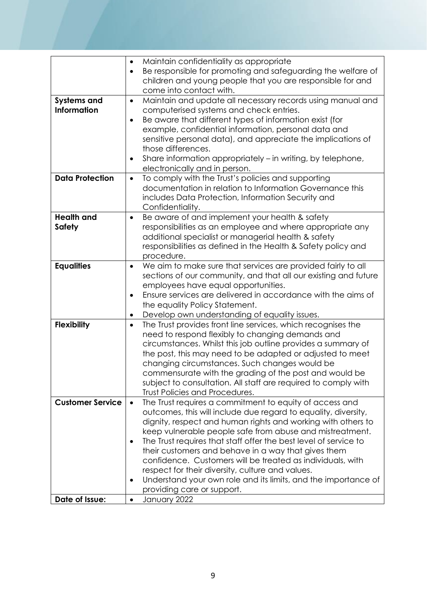|                         | Maintain confidentiality as appropriate<br>$\bullet$                      |
|-------------------------|---------------------------------------------------------------------------|
|                         | Be responsible for promoting and safeguarding the welfare of<br>$\bullet$ |
|                         | children and young people that you are responsible for and                |
|                         | come into contact with.                                                   |
| <b>Systems and</b>      | Maintain and update all necessary records using manual and<br>$\bullet$   |
| <b>Information</b>      | computerised systems and check entries.                                   |
|                         | Be aware that different types of information exist (for<br>$\bullet$      |
|                         | example, confidential information, personal data and                      |
|                         | sensitive personal data), and appreciate the implications of              |
|                         | those differences.                                                        |
|                         | Share information appropriately - in writing, by telephone,               |
|                         | electronically and in person.                                             |
| <b>Data Protection</b>  |                                                                           |
|                         | To comply with the Trust's policies and supporting<br>$\bullet$           |
|                         | documentation in relation to Information Governance this                  |
|                         | includes Data Protection, Information Security and                        |
|                         | Confidentiality.                                                          |
| <b>Health and</b>       | Be aware of and implement your health & safety<br>$\bullet$               |
| <b>Safety</b>           | responsibilities as an employee and where appropriate any                 |
|                         | additional specialist or managerial health & safety                       |
|                         | responsibilities as defined in the Health & Safety policy and             |
|                         | procedure.                                                                |
| <b>Equalities</b>       | We aim to make sure that services are provided fairly to all<br>$\bullet$ |
|                         | sections of our community, and that all our existing and future           |
|                         | employees have equal opportunities.                                       |
|                         | Ensure services are delivered in accordance with the aims of<br>$\bullet$ |
|                         | the equality Policy Statement.                                            |
|                         | Develop own understanding of equality issues.<br>$\bullet$                |
| Flexibility             | The Trust provides front line services, which recognises the<br>$\bullet$ |
|                         | need to respond flexibly to changing demands and                          |
|                         | circumstances. Whilst this job outline provides a summary of              |
|                         | the post, this may need to be adapted or adjusted to meet                 |
|                         | changing circumstances. Such changes would be                             |
|                         |                                                                           |
|                         | commensurate with the grading of the post and would be                    |
|                         | subject to consultation. All staff are required to comply with            |
|                         | Trust Policies and Procedures.                                            |
| <b>Customer Service</b> | The Trust requires a commitment to equity of access and<br>$\bullet$      |
|                         | outcomes, this will include due regard to equality, diversity,            |
|                         | dignity, respect and human rights and working with others to              |
|                         | keep vulnerable people safe from abuse and mistreatment.                  |
|                         | The Trust requires that staff offer the best level of service to<br>٠     |
|                         | their customers and behave in a way that gives them                       |
|                         | confidence. Customers will be treated as individuals, with                |
|                         | respect for their diversity, culture and values.                          |
|                         | Understand your own role and its limits, and the importance of<br>٠       |
|                         | providing care or support.                                                |
| Date of Issue:          | January 2022<br>$\bullet$                                                 |